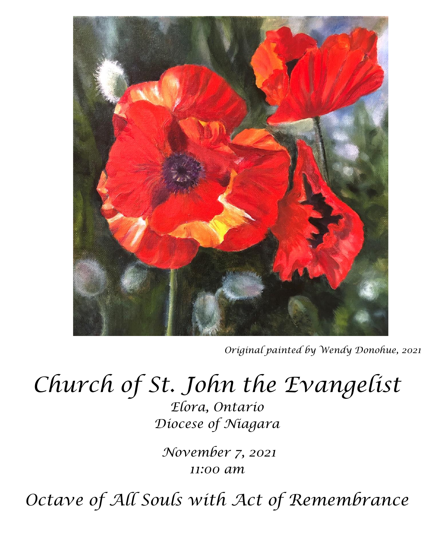

*Original painted by Wendy Donohue, 2021*

# *Church of St. John the Evangelist*

*Elora, Ontario Diocese of Niagara*

*November 7, 2021 11:00 am*

*Octave of All Souls with Act of Remembrance*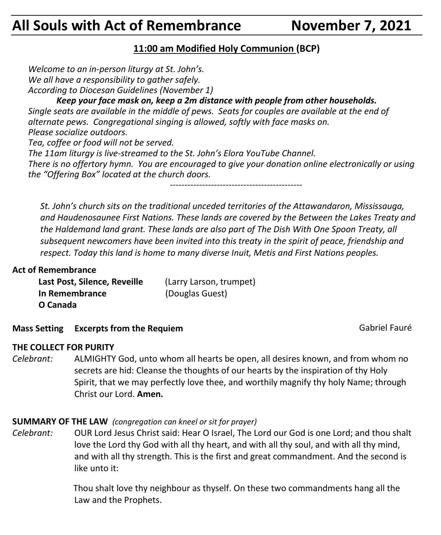# **All Souls with Act of Remembrance November 7, 2021**

#### **11:00 am Modified Holy Communion (BCP)**

*Welcome to an in-person liturgy at St. John's. We all have a responsibility to gather safely. According to Diocesan Guidelines (November 1)*

*Keep your face mask on, keep a 2m distance with people from other households. Single seats are available in the middle of pews. Seats for couples are available at the end of alternate pews. Congregational singing is allowed, softly with face masks on. Please socialize outdoors. Tea, coffee or food will not be served. The 11am liturgy is live-streamed to the St. John's Elora YouTube Channel. There is no offertory hymn. You are encouraged to give your donation online electronically or using the "Offering Box" located at the church doors. ---------------------------------------------*

*St. John's church sits on the traditional unceded territories of the Attawandaron, Mississauga, and Haudenosaunee First Nations. These lands are covered by the Between the Lakes Treaty and the Haldemand land grant. These lands are also part of The Dish With One Spoon Treaty, all subsequent newcomers have been invited into this treaty in the spirit of peace, friendship and respect. Today this land is home to many diverse Inuit, Metis and First Nations peoples.* 

#### **Act of Remembrance**

| Last Post, Silence, Reveille | (Larry Larson, trumpet) |
|------------------------------|-------------------------|
| In Remembrance               | (Douglas Guest)         |
| O Canada                     |                         |

**Mass Setting Excerpts from the Requiem and Setting Excerpts from the Requiem and Setting Setting Setting Setting Setting Setting Setting Setting Setting Setting Setting Setting Setting Setting Setting Setting Setting Sett** 

#### **THE COLLECT FOR PURITY**

*Celebrant:* ALMIGHTY God, unto whom all hearts be open, all desires known, and from whom no secrets are hid: Cleanse the thoughts of our hearts by the inspiration of thy Holy Spirit, that we may perfectly love thee, and worthily magnify thy holy Name; through Christ our Lord. **Amen.**

#### **SUMMARY OF THE LAW** *(congregation can kneel or sit for prayer)*

*Celebrant:* OUR Lord Jesus Christ said: Hear O Israel, The Lord our God is one Lord; and thou shalt love the Lord thy God with all thy heart, and with all thy soul, and with all thy mind, and with all thy strength. This is the first and great commandment. And the second is like unto it:

> Thou shalt love thy neighbour as thyself. On these two commandments hang all the Law and the Prophets.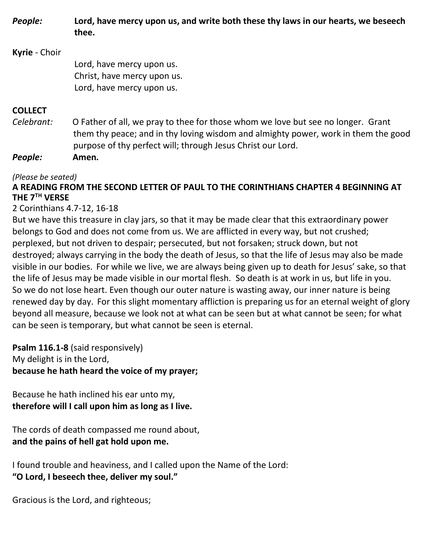*People:* **Lord, have mercy upon us, and write both these thy laws in our hearts, we beseech thee.**

### **Kyrie** - Choir Lord, have mercy upon us. Christ, have mercy upon us. Lord, have mercy upon us.

#### **COLLECT**

*Celebrant:* O Father of all, we pray to thee for those whom we love but see no longer. Grant them thy peace; and in thy loving wisdom and almighty power, work in them the good purpose of thy perfect will; through Jesus Christ our Lord.

*People:* **Amen.**

#### *(Please be seated)*

#### **A READING FROM THE SECOND LETTER OF PAUL TO THE CORINTHIANS CHAPTER 4 BEGINNING AT THE 7TH VERSE**

#### 2 Corinthians 4.7-12, 16-18

But we have this treasure in clay jars, so that it may be made clear that this extraordinary power belongs to God and does not come from us. We are afflicted in every way, but not crushed; perplexed, but not driven to despair; persecuted, but not forsaken; struck down, but not destroyed; always carrying in the body the death of Jesus, so that the life of Jesus may also be made visible in our bodies. For while we live, we are always being given up to death for Jesus' sake, so that the life of Jesus may be made visible in our mortal flesh. So death is at work in us, but life in you. So we do not lose heart. Even though our outer nature is wasting away, our inner nature is being renewed day by day. For this slight momentary affliction is preparing us for an eternal weight of glory beyond all measure, because we look not at what can be seen but at what cannot be seen; for what can be seen is temporary, but what cannot be seen is eternal.

**Psalm 116.1-8** (said responsively) My delight is in the Lord, **because he hath heard the voice of my prayer;**

Because he hath inclined his ear unto my, **therefore will I call upon him as long as I live.**

The cords of death compassed me round about, **and the pains of hell gat hold upon me.**

I found trouble and heaviness, and I called upon the Name of the Lord: **"O Lord, I beseech thee, deliver my soul."**

Gracious is the Lord, and righteous;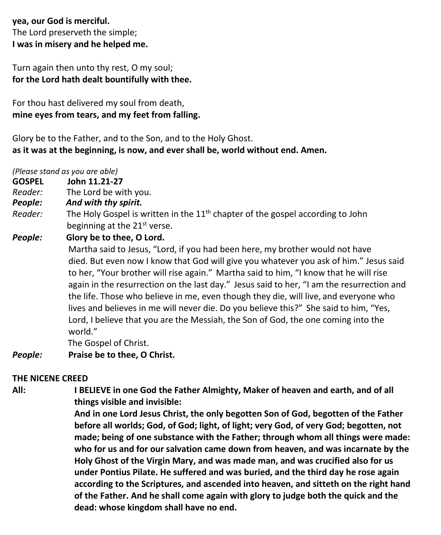**yea, our God is merciful.** The Lord preserveth the simple; **I was in misery and he helped me.**

Turn again then unto thy rest, O my soul; **for the Lord hath dealt bountifully with thee.**

For thou hast delivered my soul from death, **mine eyes from tears, and my feet from falling.**

Glory be to the Father, and to the Son, and to the Holy Ghost. **as it was at the beginning, is now, and ever shall be, world without end. Amen.**

*(Please stand as you are able)*

**GOSPEL John 11.21-27**

*Reader:*The Lord be with you.

- *People: And with thy spirit.*
- Reader: The Holy Gospel is written in the 11<sup>th</sup> chapter of the gospel according to John beginning at the 21<sup>st</sup> verse.

*People:* **Glory be to thee, O Lord.**

Martha said to Jesus, "Lord, if you had been here, my brother would not have died. But even now I know that God will give you whatever you ask of him." Jesus said to her, "Your brother will rise again." Martha said to him, "I know that he will rise again in the resurrection on the last day." Jesus said to her, "I am the resurrection and the life. Those who believe in me, even though they die, will live, and everyone who lives and believes in me will never die. Do you believe this?" She said to him, "Yes, Lord, I believe that you are the Messiah, the Son of God, the one coming into the world."

The Gospel of Christ.

*People:* **Praise be to thee, O Christ.**

#### **THE NICENE CREED**

**All: I BELIEVE in one God the Father Almighty, Maker of heaven and earth, and of all things visible and invisible:**

> **And in one Lord Jesus Christ, the only begotten Son of God, begotten of the Father before all worlds; God, of God; light, of light; very God, of very God; begotten, not made; being of one substance with the Father; through whom all things were made: who for us and for our salvation came down from heaven, and was incarnate by the Holy Ghost of the Virgin Mary, and was made man, and was crucified also for us under Pontius Pilate. He suffered and was buried, and the third day he rose again according to the Scriptures, and ascended into heaven, and sitteth on the right hand of the Father. And he shall come again with glory to judge both the quick and the dead: whose kingdom shall have no end.**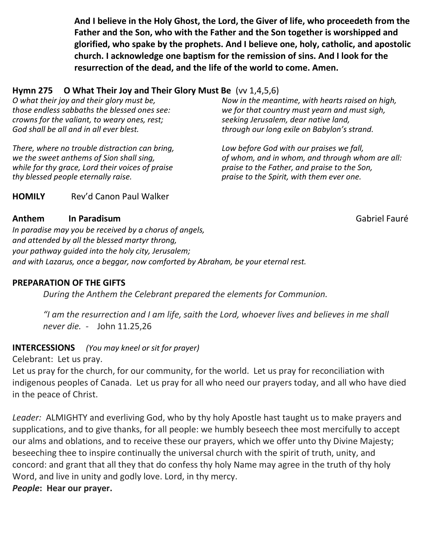**And I believe in the Holy Ghost, the Lord, the Giver of life, who proceedeth from the Father and the Son, who with the Father and the Son together is worshipped and glorified, who spake by the prophets. And I believe one, holy, catholic, and apostolic church. I acknowledge one baptism for the remission of sins. And I look for the resurrection of the dead, and the life of the world to come. Amen.**

#### **Hymn 275 O What Their Joy and Their Glory Must Be** (vv 1,4,5,6)

*O what their joy and their glory must be, those endless sabbaths the blessed ones see: crowns for the valiant, to weary ones, rest; God shall be all and in all ever blest.*

*There, where no trouble distraction can bring, we the sweet anthems of Sion shall sing, while for thy grace, Lord their voices of praise thy blessed people eternally raise.*

*Now in the meantime, with hearts raised on high, we for that country must yearn and must sigh, seeking Jerusalem, dear native land, through our long exile on Babylon's strand.*

*Low before God with our praises we fall, of whom, and in whom, and through whom are all: praise to the Father, and praise to the Son, praise to the Spirit, with them ever one.*

**HOMILY** Rev'd Canon Paul Walker

#### **Anthem In Paradisum** *in* **Paradisum Cabriel Fauré Gabriel Fauré**

*In paradise may you be received by a chorus of angels, and attended by all the blessed martyr throng, your pathway guided into the holy city, Jerusalem; and with Lazarus, once a beggar, now comforted by Abraham, be your eternal rest.*

#### **PREPARATION OF THE GIFTS**

*During the Anthem the Celebrant prepared the elements for Communion.*

*"I am the resurrection and I am life, saith the Lord, whoever lives and believes in me shall never die. -* John 11.25,26

#### **INTERCESSIONS** *(You may kneel or sit for prayer)*

Celebrant: Let us pray.

Let us pray for the church, for our community, for the world. Let us pray for reconciliation with indigenous peoples of Canada. Let us pray for all who need our prayers today, and all who have died in the peace of Christ.

*Leader:* ALMIGHTY and everliving God, who by thy holy Apostle hast taught us to make prayers and supplications, and to give thanks, for all people: we humbly beseech thee most mercifully to accept our alms and oblations, and to receive these our prayers, which we offer unto thy Divine Majesty; beseeching thee to inspire continually the universal church with the spirit of truth, unity, and concord: and grant that all they that do confess thy holy Name may agree in the truth of thy holy Word, and live in unity and godly love. Lord, in thy mercy. *People***: Hear our prayer.**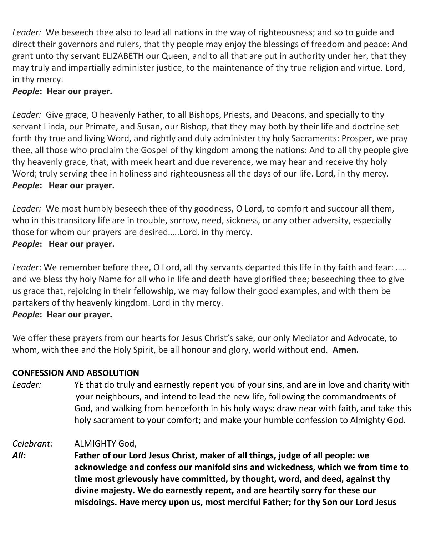*Leader:* We beseech thee also to lead all nations in the way of righteousness; and so to guide and direct their governors and rulers, that thy people may enjoy the blessings of freedom and peace: And grant unto thy servant ELIZABETH our Queen, and to all that are put in authority under her, that they may truly and impartially administer justice, to the maintenance of thy true religion and virtue. Lord, in thy mercy.

#### *People***: Hear our prayer.**

*Leader:* Give grace, O heavenly Father, to all Bishops, Priests, and Deacons, and specially to thy servant Linda, our Primate, and Susan, our Bishop, that they may both by their life and doctrine set forth thy true and living Word, and rightly and duly administer thy holy Sacraments: Prosper, we pray thee, all those who proclaim the Gospel of thy kingdom among the nations: And to all thy people give thy heavenly grace, that, with meek heart and due reverence, we may hear and receive thy holy Word; truly serving thee in holiness and righteousness all the days of our life. Lord, in thy mercy. *People***: Hear our prayer.**

*Leader:* We most humbly beseech thee of thy goodness, O Lord, to comfort and succour all them, who in this transitory life are in trouble, sorrow, need, sickness, or any other adversity, especially those for whom our prayers are desired…..Lord, in thy mercy.

*People***: Hear our prayer.**

*Leader*: We remember before thee, O Lord, all thy servants departed this life in thy faith and fear: ….. and we bless thy holy Name for all who in life and death have glorified thee; beseeching thee to give us grace that, rejoicing in their fellowship, we may follow their good examples, and with them be partakers of thy heavenly kingdom. Lord in thy mercy. *People***: Hear our prayer.**

We offer these prayers from our hearts for Jesus Christ's sake, our only Mediator and Advocate, to whom, with thee and the Holy Spirit, be all honour and glory, world without end. **Amen.**

#### **CONFESSION AND ABSOLUTION**

- *Leader:* YE that do truly and earnestly repent you of your sins, and are in love and charity with your neighbours, and intend to lead the new life, following the commandments of God, and walking from henceforth in his holy ways: draw near with faith, and take this holy sacrament to your comfort; and make your humble confession to Almighty God.
- *Celebrant:* ALMIGHTY God,
- *All:* **Father of our Lord Jesus Christ, maker of all things, judge of all people: we acknowledge and confess our manifold sins and wickedness, which we from time to time most grievously have committed, by thought, word, and deed, against thy divine majesty. We do earnestly repent, and are heartily sorry for these our misdoings. Have mercy upon us, most merciful Father; for thy Son our Lord Jesus**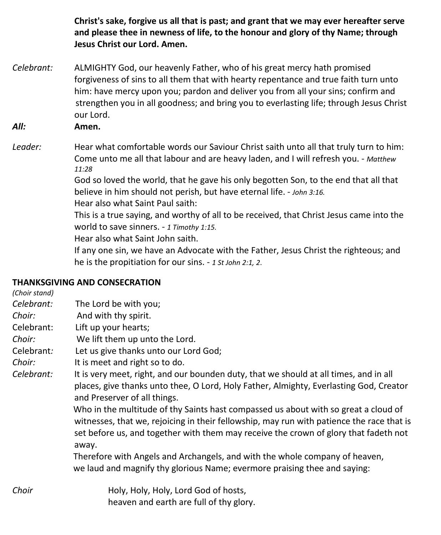**Christ's sake, forgive us all that is past; and grant that we may ever hereafter serve and please thee in newness of life, to the honour and glory of thy Name; through Jesus Christ our Lord. Amen.**

*Celebrant:* ALMIGHTY God, our heavenly Father, who of his great mercy hath promised forgiveness of sins to all them that with hearty repentance and true faith turn unto him: have mercy upon you; pardon and deliver you from all your sins; confirm and strengthen you in all goodness; and bring you to everlasting life; through Jesus Christ our Lord.

*All:* **Amen.**

Leader: Hear what comfortable words our Saviour Christ saith unto all that truly turn to him: Come unto me all that labour and are heavy laden, and I will refresh you. - *Matthew 11:28*

> God so loved the world, that he gave his only begotten Son, to the end that all that believe in him should not perish, but have eternal life. - *John 3:16.*

Hear also what Saint Paul saith:

This is a true saying, and worthy of all to be received, that Christ Jesus came into the world to save sinners. - *1 Timothy 1:15.*

Hear also what Saint John saith.

If any one sin, we have an Advocate with the Father, Jesus Christ the righteous; and he is the propitiation for our sins. - *1 St John 2:1, 2*.

#### **THANKSGIVING AND CONSECRATION**

*(Choir stand) Celebrant:* The Lord be with you; *Choir:* And with thy spirit. Celebrant: Lift up your hearts; *Choir:* We lift them up unto the Lord. Celebrant*:* Let us give thanks unto our Lord God; *Choir:* It is meet and right so to do. *Celebrant:* It is very meet, right, and our bounden duty, that we should at all times, and in all places, give thanks unto thee, O Lord, Holy Father, Almighty, Everlasting God, Creator and Preserver of all things. Who in the multitude of thy Saints hast compassed us about with so great a cloud of witnesses, that we, rejoicing in their fellowship, may run with patience the race that is set before us, and together with them may receive the crown of glory that fadeth not away. Therefore with Angels and Archangels, and with the whole company of heaven, we laud and magnify thy glorious Name; evermore praising thee and saying: *Choir* **Holy, Holy, Holy, Lord God of hosts,** heaven and earth are full of thy glory.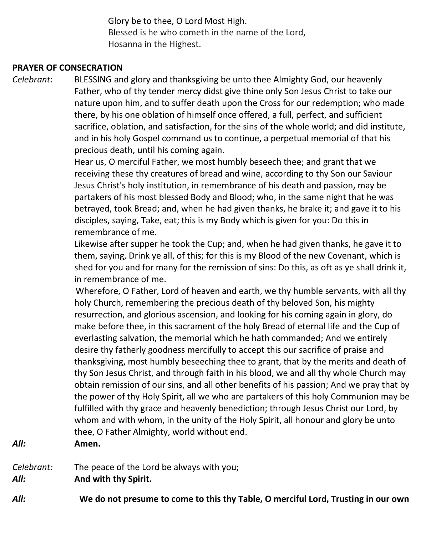Glory be to thee, O Lord Most High. Blessed is he who cometh in the name of the Lord, Hosanna in the Highest.

#### **PRAYER OF CONSECRATION**

*Celebrant*: BLESSING and glory and thanksgiving be unto thee Almighty God, our heavenly Father, who of thy tender mercy didst give thine only Son Jesus Christ to take our nature upon him, and to suffer death upon the Cross for our redemption; who made there, by his one oblation of himself once offered, a full, perfect, and sufficient sacrifice, oblation, and satisfaction, for the sins of the whole world; and did institute, and in his holy Gospel command us to continue, a perpetual memorial of that his precious death, until his coming again.

Hear us, O merciful Father, we most humbly beseech thee; and grant that we receiving these thy creatures of bread and wine, according to thy Son our Saviour Jesus Christ's holy institution, in remembrance of his death and passion, may be partakers of his most blessed Body and Blood; who, in the same night that he was betrayed, took Bread; and, when he had given thanks, he brake it; and gave it to his disciples, saying, Take, eat; this is my Body which is given for you: Do this in remembrance of me.

Likewise after supper he took the Cup; and, when he had given thanks, he gave it to them, saying, Drink ye all, of this; for this is my Blood of the new Covenant, which is shed for you and for many for the remission of sins: Do this, as oft as ye shall drink it, in remembrance of me.

 Wherefore, O Father, Lord of heaven and earth, we thy humble servants, with all thy holy Church, remembering the precious death of thy beloved Son, his mighty resurrection, and glorious ascension, and looking for his coming again in glory, do make before thee, in this sacrament of the holy Bread of eternal life and the Cup of everlasting salvation, the memorial which he hath commanded; And we entirely desire thy fatherly goodness mercifully to accept this our sacrifice of praise and thanksgiving, most humbly beseeching thee to grant, that by the merits and death of thy Son Jesus Christ, and through faith in his blood, we and all thy whole Church may obtain remission of our sins, and all other benefits of his passion; And we pray that by the power of thy Holy Spirit, all we who are partakers of this holy Communion may be fulfilled with thy grace and heavenly benediction; through Jesus Christ our Lord, by whom and with whom, in the unity of the Holy Spirit, all honour and glory be unto thee, O Father Almighty, world without end.

#### *All:* **Amen.**

*Celebrant:* The peace of the Lord be always with you;

*All:* **And with thy Spirit.**

*All:* **We do not presume to come to this thy Table, O merciful Lord, Trusting in our own**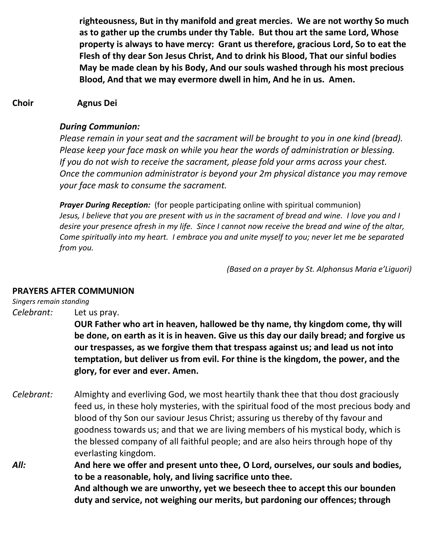**righteousness, But in thy manifold and great mercies. We are not worthy So much as to gather up the crumbs under thy Table. But thou art the same Lord, Whose property is always to have mercy: Grant us therefore, gracious Lord, So to eat the Flesh of thy dear Son Jesus Christ, And to drink his Blood, That our sinful bodies May be made clean by his Body, And our souls washed through his most precious Blood, And that we may evermore dwell in him, And he in us. Amen.**

#### **Choir Agnus Dei**

#### *During Communion:*

*Please remain in your seat and the sacrament will be brought to you in one kind (bread). Please keep your face mask on while you hear the words of administration or blessing. If you do not wish to receive the sacrament, please fold your arms across your chest. Once the communion administrator is beyond your 2m physical distance you may remove your face mask to consume the sacrament.*

*Prayer During Reception:* (for people participating online with spiritual communion) Jesus, I believe that you are present with us in the sacrament of bread and wine. I love you and I desire your presence afresh in my life. Since I cannot now receive the bread and wine of the altar, *Come spiritually into my heart. I embrace you and unite myself to you; never let me be separated from you.*

*(Based on a prayer by St. Alphonsus Maria e'Liguori)*

#### **PRAYERS AFTER COMMUNION**

*Singers remain standing*

*Celebrant:* Let us pray.

**OUR Father who art in heaven, hallowed be thy name, thy kingdom come, thy will be done, on earth as it is in heaven. Give us this day our daily bread; and forgive us our trespasses, as we forgive them that trespass against us; and lead us not into temptation, but deliver us from evil. For thine is the kingdom, the power, and the glory, for ever and ever. Amen.**

- *Celebrant:* Almighty and everliving God, we most heartily thank thee that thou dost graciously feed us, in these holy mysteries, with the spiritual food of the most precious body and blood of thy Son our saviour Jesus Christ; assuring us thereby of thy favour and goodness towards us; and that we are living members of his mystical body, which is the blessed company of all faithful people; and are also heirs through hope of thy everlasting kingdom.
- *All:* **And here we offer and present unto thee, O Lord, ourselves, our souls and bodies, to be a reasonable, holy, and living sacrifice unto thee. And although we are unworthy, yet we beseech thee to accept this our bounden duty and service, not weighing our merits, but pardoning our offences; through**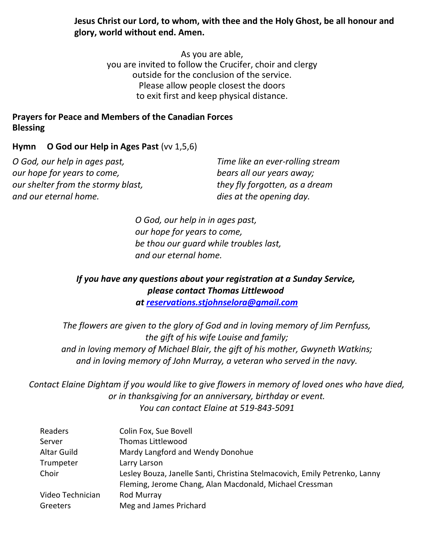**Jesus Christ our Lord, to whom, with thee and the Holy Ghost, be all honour and glory, world without end. Amen.**

> As you are able, you are invited to follow the Crucifer, choir and clergy outside for the conclusion of the service. Please allow people closest the doors to exit first and keep physical distance.

#### **Prayers for Peace and Members of the Canadian Forces Blessing**

#### **Hymn O God our Help in Ages Past** (vv 1,5,6)

*O God, our help in ages past, our hope for years to come, our shelter from the stormy blast, and our eternal home.*

*Time like an ever-rolling stream bears all our years away; they fly forgotten, as a dream dies at the opening day.*

*O God, our help in in ages past, our hope for years to come, be thou our guard while troubles last, and our eternal home.*

#### *If you have any questions about your registration at a Sunday Service, please contact Thomas Littlewood at [reservations.stjohnselora@gmail.com](mailto:reservations.stjohnselora@gmail.com)*

*The flowers are given to the glory of God and in loving memory of Jim Pernfuss, the gift of his wife Louise and family; and in loving memory of Michael Blair, the gift of his mother, Gwyneth Watkins; and in loving memory of John Murray, a veteran who served in the navy.*

*Contact Elaine Dightam if you would like to give flowers in memory of loved ones who have died, or in thanksgiving for an anniversary, birthday or event. You can contact Elaine at 519-843-5091*

| Readers          | Colin Fox, Sue Bovell                                                      |
|------------------|----------------------------------------------------------------------------|
| Server           | Thomas Littlewood                                                          |
| Altar Guild      | Mardy Langford and Wendy Donohue                                           |
| Trumpeter        | Larry Larson                                                               |
| Choir            | Lesley Bouza, Janelle Santi, Christina Stelmacovich, Emily Petrenko, Lanny |
|                  | Fleming, Jerome Chang, Alan Macdonald, Michael Cressman                    |
| Video Technician | Rod Murray                                                                 |
| Greeters         | Meg and James Prichard                                                     |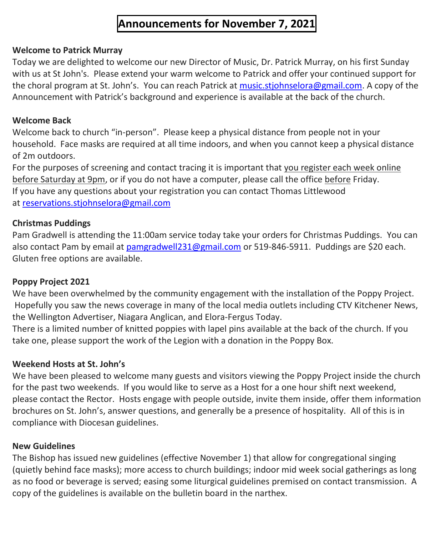## **Announcements for November 7, 2021**

#### **Welcome to Patrick Murray**

Today we are delighted to welcome our new Director of Music, Dr. Patrick Murray, on his first Sunday with us at St John's. Please extend your warm welcome to Patrick and offer your continued support for the choral program at St. John's. You can reach Patrick at [music.stjohnselora@gmail.com.](mailto:music.stjohnselora@gmail.com) A copy of the Announcement with Patrick's background and experience is available at the back of the church.

#### **Welcome Back**

Welcome back to church "in-person". Please keep a physical distance from people not in your household. Face masks are required at all time indoors, and when you cannot keep a physical distance of 2m outdoors.

For the purposes of screening and contact tracing it is important that you register each week online before Saturday at 9pm, or if you do not have a computer, please call the office before Friday. If you have any questions about your registration you can contact Thomas Littlewood at [reservations.stjohnselora@gmail.com](mailto:reservations.stjohnselora@gmail.com)

#### **Christmas Puddings**

Pam Gradwell is attending the 11:00am service today take your orders for Christmas Puddings. You can also contact Pam by email at [pamgradwell231@gmail.com](mailto:pamgradwell231@gmail.com) or 519-846-5911. Puddings are \$20 each. Gluten free options are available.

#### **Poppy Project 2021**

We have been overwhelmed by the community engagement with the installation of the Poppy Project. Hopefully you saw the news coverage in many of the local media outlets including CTV Kitchener News, the Wellington Advertiser, Niagara Anglican, and Elora-Fergus Today.

There is a limited number of knitted poppies with lapel pins available at the back of the church. If you take one, please support the work of the Legion with a donation in the Poppy Box.

#### **Weekend Hosts at St. John's**

We have been pleased to welcome many guests and visitors viewing the Poppy Project inside the church for the past two weekends. If you would like to serve as a Host for a one hour shift next weekend, please contact the Rector. Hosts engage with people outside, invite them inside, offer them information brochures on St. John's, answer questions, and generally be a presence of hospitality. All of this is in compliance with Diocesan guidelines.

#### **New Guidelines**

The Bishop has issued new guidelines (effective November 1) that allow for congregational singing (quietly behind face masks); more access to church buildings; indoor mid week social gatherings as long as no food or beverage is served; easing some liturgical guidelines premised on contact transmission. A copy of the guidelines is available on the bulletin board in the narthex.